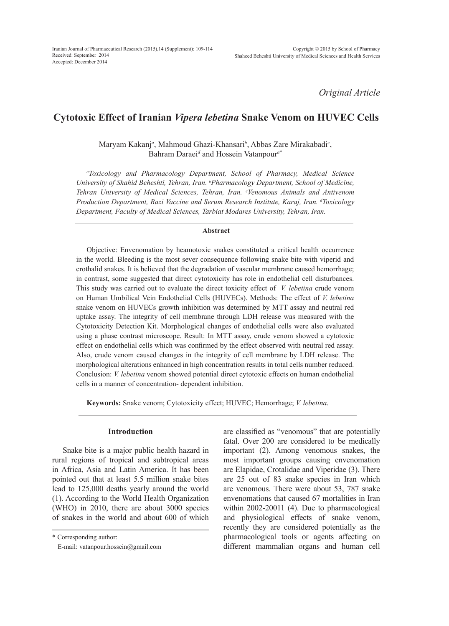*Original Article*

# **Cytotoxic Effect of Iranian** *Vipera lebetina* **Snake Venom on HUVEC Cells**

Maryam Kakanj*<sup>a</sup>* , Mahmoud Ghazi-Khansari*<sup>b</sup>* , Abbas Zare Mirakabadi*<sup>c</sup>* , Bahram Daraei*<sup>d</sup>* and Hossein Vatanpour*a\**

*a Toxicology and Pharmacology Department, School of Pharmacy, Medical Science University of Shahid Beheshti, Tehran, Iran. b Pharmacology Department, School of Medicine, Tehran University of Medical Sciences, Tehran, Iran. c Venomous Animals and Antivenom Production Department, Razi Vaccine and Serum Research Institute, Karaj, Iran. d Toxicology Department, Faculty of Medical Sciences, Tarbiat Modares University, Tehran, Iran.*

# **Abstract**

Objective: Envenomation by heamotoxic snakes constituted a critical health occurrence in the world. Bleeding is the most sever consequence following snake bite with viperid and crothalid snakes. It is believed that the degradation of vascular membrane caused hemorrhage; in contrast, some suggested that direct cytotoxicity has role in endothelial cell disturbances. This study was carried out to evaluate the direct toxicity effect of *V. lebetina* crude venom on Human Umbilical Vein Endothelial Cells (HUVECs). Methods: The effect of *V. lebetina* snake venom on HUVECs growth inhibition was determined by MTT assay and neutral red uptake assay. The integrity of cell membrane through LDH release was measured with the Cytotoxicity Detection Kit. Morphological changes of endothelial cells were also evaluated using a phase contrast microscope. Result: In MTT assay, crude venom showed a cytotoxic effect on endothelial cells which was confirmed by the effect observed with neutral red assay. Also, crude venom caused changes in the integrity of cell membrane by LDH release. The morphological alterations enhanced in high concentration results in total cells number reduced. Conclusion: *V. lebetina* venom showed potential direct cytotoxic effects on human endothelial cells in a manner of concentration- dependent inhibition.

**Keywords:** Snake venom; Cytotoxicity effect; HUVEC; Hemorrhage; *V. lebetina*.

# **Introduction**

Snake bite is a major public health hazard in rural regions of tropical and subtropical areas in Africa, Asia and Latin America. It has been pointed out that at least 5.5 million snake bites lead to 125,000 deaths yearly around the world (1). According to the World Health Organization (WHO) in 2010, there are about 3000 species of snakes in the world and about 600 of which

\* Corresponding author:

are classified as "venomous" that are potentially fatal. Over 200 are considered to be medically important (2). Among venomous snakes, the most important groups causing envenomation are Elapidae, Crotalidae and Viperidae (3). There are 25 out of 83 snake species in Iran which are venomous. There were about 53, 787 snake envenomations that caused 67 mortalities in Iran within 2002-20011 (4). Due to pharmacological and physiological effects of snake venom, recently they are considered potentially as the pharmacological tools or agents affecting on different mammalian organs and human cell

E-mail: vatanpour.hossein@gmail.com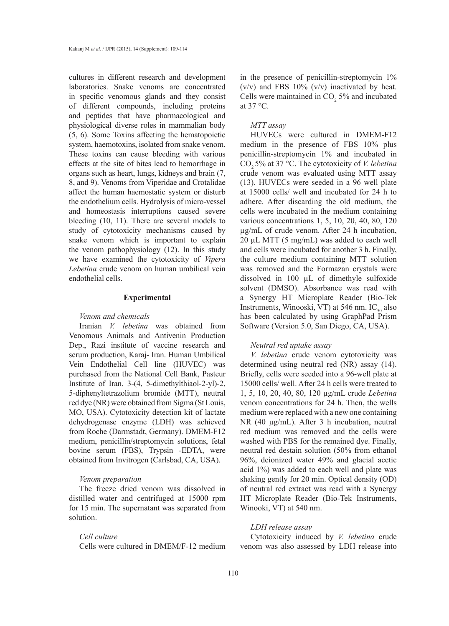cultures in different research and development laboratories. Snake venoms are concentrated in specific venomous glands and they consist of different compounds, including proteins and peptides that have pharmacological and physiological diverse roles in mammalian body (5, 6). Some Toxins affecting the hematopoietic system, haemotoxins, isolated from snake venom. These toxins can cause bleeding with various effects at the site of bites lead to hemorrhage in organs such as heart, lungs, kidneys and brain (7, 8, and 9). Venoms from Viperidae and Crotalidae affect the human haemostatic system or disturb the endothelium cells. Hydrolysis of micro-vessel and homeostasis interruptions caused severe bleeding (10, 11). There are several models to study of cytotoxicity mechanisms caused by snake venom which is important to explain the venom pathophysiology (12). In this study we have examined the cytotoxicity of *Vipera Lebetina* crude venom on human umbilical vein endothelial cells.

# **Experimental**

#### *Venom and chemicals*

Iranian *V. lebetina* was obtained from Venomous Animals and Antivenin Production Dep., Razi institute of vaccine research and serum production, Karaj- Iran. Human Umbilical Vein Endothelial Cell line (HUVEC) was purchased from the National Cell Bank, Pasteur Institute of Iran. 3-(4, 5-dimethylthiaol-2-yl)-2, 5-diphenyltetrazolium bromide (MTT), neutral red dye (NR) were obtained from Sigma (St Louis, MO, USA). Cytotoxicity detection kit of lactate dehydrogenase enzyme (LDH) was achieved from Roche (Darmstadt, Germany). DMEM-F12 medium, penicillin/streptomycin solutions, fetal bovine serum (FBS), Trypsin -EDTA, were obtained from Invitrogen (Carlsbad, CA, USA).

#### *Venom preparation*

The freeze dried venom was dissolved in distilled water and centrifuged at 15000 rpm for 15 min. The supernatant was separated from solution.

# *Cell culture*

Cells were cultured in DMEM/F-12 medium

in the presence of penicillin-streptomycin 1%  $(v/v)$  and FBS 10%  $(v/v)$  inactivated by heat. Cells were maintained in  $CO<sub>2</sub> 5%$  and incubated at 37 °C.

#### *MTT assay*

HUVECs were cultured in DMEM-F12 medium in the presence of FBS 10% plus penicillin-streptomycin 1% and incubated in CO<sub>2</sub> 5% at 37 °C. The cytotoxicity of *V. lebetina* crude venom was evaluated using MTT assay (13). HUVECs were seeded in a 96 well plate at 15000 cells/ well and incubated for 24 h to adhere. After discarding the old medium, the cells were incubated in the medium containing various concentrations 1, 5, 10, 20, 40, 80, 120 µg/mL of crude venom. After 24 h incubation,  $20 \mu L$  MTT (5 mg/mL) was added to each well and cells were incubated for another 3 h. Finally, the culture medium containing MTT solution was removed and the Formazan crystals were dissolved in 100 µL of dimethyle sulfoxide solvent (DMSO). Absorbance was read with a Synergy HT Microplate Reader (Bio-Tek Instruments, Winooski, VT) at 546 nm.  $IC_{50}$  also has been calculated by using GraphPad Prism Software (Version 5.0, San Diego, CA, USA).

# *Neutral red uptake assay*

*V. lebetina* crude venom cytotoxicity was determined using neutral red (NR) assay (14). Briefly, cells were seeded into a 96-well plate at 15000 cells/ well. After 24 h cells were treated to 1, 5, 10, 20, 40, 80, 120 µg/mL crude *Lebetina* venom concentrations for 24 h. Then, the wells medium were replaced with a new one containing NR (40 µg/mL). After 3 h incubation, neutral red medium was removed and the cells were washed with PBS for the remained dye. Finally, neutral red destain solution (50% from ethanol 96%, deionized water 49% and glacial acetic acid 1%) was added to each well and plate was shaking gently for 20 min. Optical density (OD) of neutral red extract was read with a Synergy HT Microplate Reader (Bio-Tek Instruments, Winooki, VT) at 540 nm.

#### *LDH release assay*

Cytotoxicity induced by *V. lebetina* crude venom was also assessed by LDH release into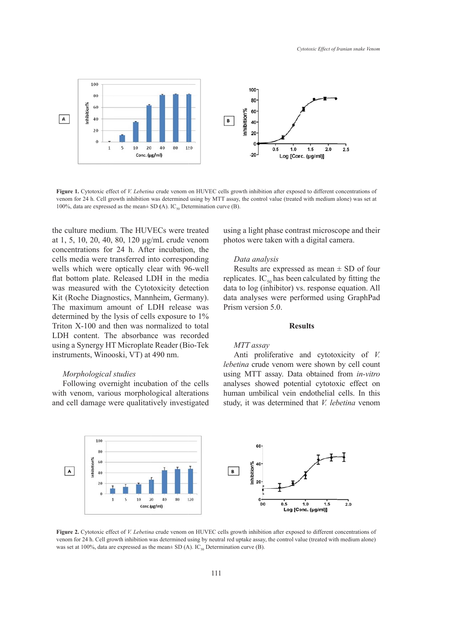

Figure 1. Cytotoxic effect of *V. Lebetina* crude venom on HUVEC cells growth inhibition after exposed to different concentrations of venom for 24 n. Cen grown immotion was determined using by  $M11$  assay,  $100\%$ , data are expressed as the mean $\pm$  SD (A). IC<sub>50</sub> Determination curve (B). venom for 24 h. Cell growth inhibition was determined using by MTT assay, the control value (treated with medium alone) was set at  $100\%$  data are expressed as the mean+ SD (A). IC Determination curve (B)

the culture medium. The HUVECs were treated u at 1, 5, 10, 20, 40, 80, 120 µg/mL crude venom concentrations for 24 h. After incubation, the **Figure** into corresponding cells media were transferred into corresponding wells which were optically clear with 96-well flat bottom plate. Released LDH in the media mat bottom plate. Refeased EDT in the media Kit (Roche Diagnostics, Mannheim, Germany). c The maximum amount of LDH release was determined by the lysis of cells exposure to 1% Triton X-100 and then was normalized to total LDH content. The absorbance was recorded using a Synergy HT Microplate Reader (Bio-Tek instruments, Winooski, VT) at 490 nm.

# *Morphological studies*

Following overnight incubation of the cells with venom, various morphological alterations and cell damage were qualitatively investigated

using a light phase contrast microscope and their photos were taken with a digital camera.

# Data analysis

Results are expressed as mean  $\pm$  SD of four replicates. IC<sub>50</sub> has been calculated by fitting the repreaders.  $C_{50}$  has been calculated by fitting the data to log (inhibitor) vs. response equation. All data analyses were performed using GraphPad Prism version 5.0.

# **Results**

#### *MTT assay*

Anti proliferative and cytotoxicity of *V. lebetina* crude venom were shown by cell count using MTT assay. Data obtained from *in-vitro* analyses showed potential cytotoxic effect on human umbilical vein endothelial cells. In this study, it was determined that *V. lebetina* venom



venom for 24 h. Cell growth inhibition was determined using by neutral red uptake assay, the control value (treated with medium alone) was set at 100%, data are expressed as the mean $\pm$  SD (A). IC<sub>50</sub> Determination curve (B).  $h(x)$ . **Figure 2.** Cytotoxic effect of *V. Lebetina* crude venom on HUVEC cells growth inhibition after exposed to different concentrations of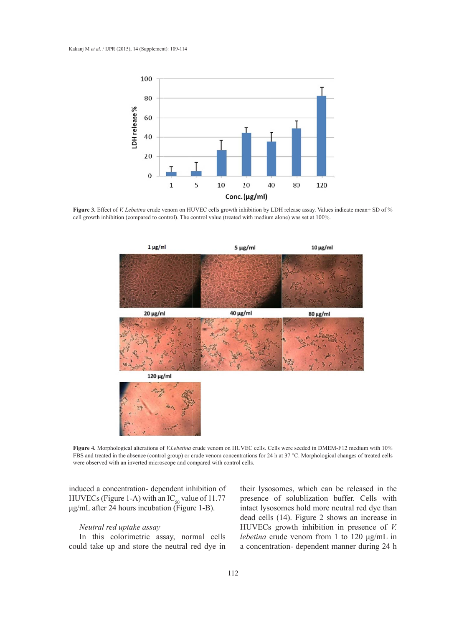

cell growth inhibition (compared to control). The control value (treated with medium alone) was set at 100%. **Figure 3.** Effect of *V. Lebetina* crude venom on HUVEC cells growth inhibition by LDH release assay. Values indicate mean± SD of %



with an inverted microscope and compared with control cells. crude venom **Figure 4.** Morphological alterations of *V.Lebetina* crude venom on HUVEC cells. Cells were seeded in DMEM-F12 medium with 10% FBS and treated in the absence (control group) or crude venom concentrations for 24 h at 37 °C. Morphological changes of treated cells

were observed with an inverted microscope and compared with control cells.<br>induced a concentration- dependent inhibition of their HUVECs (Figure 1-A) with an  $IC_{50}$  value of 11.77 μg/mL after 24 hours incubation (Figure 1-B).

#### *Neutral red uptake assay*

In this colorimetric assay, normal cells could take up and store the neutral red dye in

f their lysosomes, which can be released in the 7 presence of solublization buffer. Cells with intact lysosomes hold more neutral red dye than dead cells (14). Figure 2 shows an increase in HUVECs growth inhibition in presence of *V. lebetina* crude venom from 1 to 120 μg/mL in a concentration- dependent manner during 24 h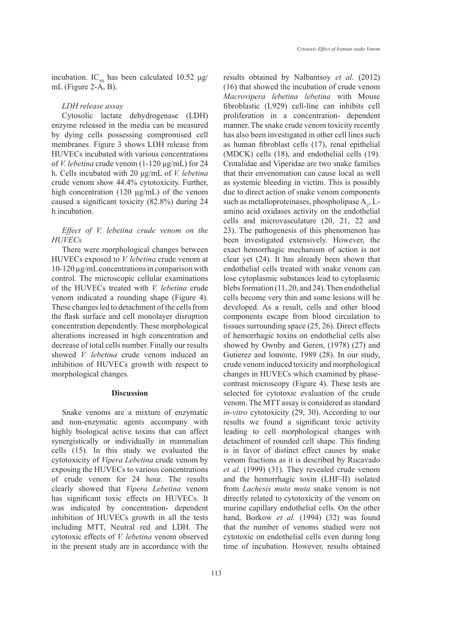incubation. IC<sub>50</sub> has been calculated 10.52 μg/ mL (Figure 2-A, B).

#### *LDH release assay*

Cytosolic lactate dehydrogenase (LDH) enzyme released in the media can be measured by dying cells possessing compromised cell membranes. Figure 3 shows LDH release from HUVECs incubated with various concentrations of *V. lebetina* crude venom (1-120 μg/mL) for 24 h. Cells incubated with 20 μg/mL of *V. lebetina*  crude venom show 44.4% cytotoxicity. Further, high concentration (120 μg/mL) of the venom caused a significant toxicity (82.8%) during 24 h incubation.

# *Effect of V. lebetina crude venom on the HUVECs*

There were morphological changes between HUVECs exposed to *V. lebetina* crude venom at 10-120 µg/mL concentrations in comparison with control. The microscopic cellular examinations of the HUVECs treated with *V. lebetina* crude venom indicated a rounding shape (Figure 4). These changes led to detachment of the cells from the flask surface and cell monolayer disruption concentration dependently. These morphological alterations increased in high concentration and decrease of total cells number. Finally our results showed *V. lebetina* crude venom induced an inhibition of HUVECs growth with respect to morphological changes.

# **Discussion**

Snake venoms are a mixture of enzymatic and non-enzymatic agents accompany with highly biological active toxins that can affect synergistically or individually in mammalian cells (15). In this study we evaluated the cytotoxicity of *Vipera Lebetina* crude venom by exposing the HUVECs to various concentrations of crude venom for 24 hour. The results clearly showed that *Vipera Lebetina* venom has significant toxic effects on HUVECs. It was indicated by concentration- dependent inhibition of HUVECs growth in all the tests including MTT, Neutral red and LDH. The cytotoxic effects of *V. lebetina* venom observed in the present study are in accordance with the results obtained by Nalbantsoy *et al*. (2012) (16) that showed the incubation of crude venom *Macrovipera lebetina lebetina* with Mouse fibroblastic (L929) cell-line can inhibits cell proliferation in a concentration- dependent manner. The snake crude venom toxicity recently has also been investigated in other cell lines such as human fibroblast cells (17), renal epithelial (MDCK) cells (18), and endothelial cells (19). Crotalidae and Viperidae are two snake families that their envenomation can cause local as well as systemic bleeding in victim. This is possibly due to direct action of snake venom components such as metalloproteinases, phospholipase  $A_2$ , Lamino acid oxidases activity on the endothelial cells and microvasculature (20, 21, 22 and 23). The pathogenesis of this phenomenon has been investigated extensively. However, the exact hemorrhagic mechanism of action is not clear yet (24). It has already been shown that endothelial cells treated with snake venom can lose cytoplasmic substances lead to cytoplasmic blebs formation (11, 20, and 24). Then endothelial cells become very thin and some lesions will be developed. As a result, cells and other blood components escape from blood circulation to tissues surrounding space (25, 26). Direct effects of hemorrhagic toxins on endothelial cells also showed by Ownby and Geren, (1978) (27) and Gutierez and lomonte, 1989 (28). In our study, crude venom induced toxicity and morphological changes in HUVECs which examined by phasecontrast microscopy (Figure 4). These tests are selected for cytotoxic evaluation of the crude venom. The MTT assay is considered as standard *in-vitro* cytotoxicity (29, 30). According to our results we found a significant toxic activity leading to cell morphological changes with detachment of rounded cell shape. This finding is in favor of distinct effect causes by snake venom fractions as it is described by Rucavado *et al*. (1999) (31). They revealed crude venom and the hemorrhagic toxin (LHF-II) isolated from *Lachesis muta muta* snake venom is not directly related to cytotoxicity of the venom on murine capillary endothelial cells. On the other hand, Borkow *et al.* (1994) (32) was found that the number of venoms studied were not cytotoxic on endothelial cells even during long time of incubation. However, results obtained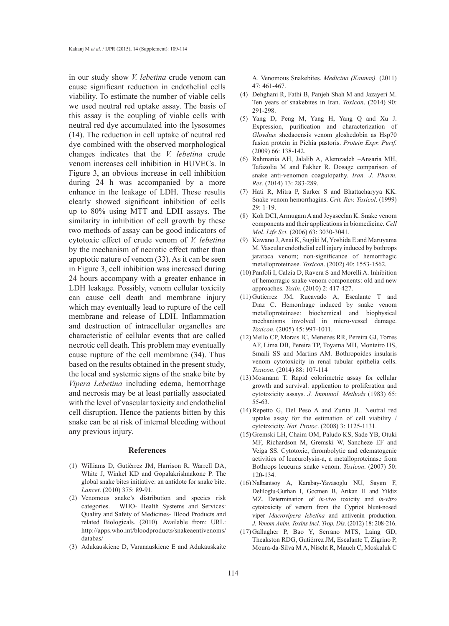in our study show *V. lebetina* crude venom can cause significant reduction in endothelial cells viability. To estimate the number of viable cells we used neutral red uptake assay. The basis of this assay is the coupling of viable cells with neutral red dye accumulated into the lysosomes (14). The reduction in cell uptake of neutral red dye combined with the observed morphological changes indicates that the *V. lebetina* crude venom increases cell inhibition in HUVECs. In Figure 3, an obvious increase in cell inhibition during 24 h was accompanied by a more enhance in the leakage of LDH. These results clearly showed significant inhibition of cells up to 80% using MTT and LDH assays. The similarity in inhibition of cell growth by these two methods of assay can be good indicators of cytotoxic effect of crude venom of *V. lebetina* by the mechanism of necrotic effect rather than apoptotic nature of venom (33). As it can be seen in Figure 3, cell inhibition was increased during 24 hours accompany with a greater enhance in LDH leakage. Possibly, venom cellular toxicity can cause cell death and membrane injury which may eventually lead to rupture of the cell membrane and release of LDH. Inflammation and destruction of intracellular organelles are characteristic of cellular events that are called necrotic cell death. This problem may eventually cause rupture of the cell membrane (34). Thus based on the results obtained in the present study, the local and systemic signs of the snake bite by *Vipera Lebetina* including edema, hemorrhage and necrosis may be at least partially associated with the level of vascular toxicity and endothelial cell disruption. Hence the patients bitten by this snake can be at risk of internal bleeding without any previous injury.

#### **References**

- Williams D, Gutiérrez JM, Harrison R, Warrell DA, (1) White J, Winkel KD and Gopalakrishnakone P. The global snake bites initiative: an antidote for snake bite. *Lancet*. (2010) 375: 89-91.
- (2) Venomous snake's distribution and species risk categories. WHO- Health Systems and Services: Quality and Safety of Medicines- Blood Products and related Biologicals. (2010). Available from: URL: http://apps.who.int/bloodproducts/snakeaentivenoms/ databas/
- Adukauskiene D, Varanauskiene E and Adukauskaite (3)

A. Venomous Snakebites. *Medicina (Kaunas).* (2011) 47: 461-467.

- Dehghani R, Fathi B, Panjeh Shah M and Jazayeri M. (4) Ten years of snakebites in Iran. *Toxicon*. (2014) 90: 291-298.
- Yang D, Peng M, Yang H, Yang Q and Xu J. (5) Expression, purification and characterization of *Gloydius* shedaoensis venom gloshedobin as Hsp70 fusion protein in Pichia pastoris. *Protein Expr. Purif.* (2009) 66: 138-142.
- Rahmania AH, Jalalib A, Alemzadeh –Ansaria MH, (6) Tafazolia M and Fakher R. Dosage comparison of snake anti-venomon coagulopathy. *Iran. J. Pharm. Res.* (2014) 13: 283-289.
- (7) Hati R, Mitra P, Sarker S and Bhattacharyya KK. Snake venom hemorrhagins. *Crit. Rev. Toxicol*. (1999)  $29 \cdot 1 - 19$
- (8) Koh DCI, Armugam A and Jeyaseelan K. Snake venom components and their applications in biomedicine. *Cell Mol. Life Sci.* (2006) 63: 3030-3041.
- (9) Kawano J, Anai K, Sugiki M, Yoshida E and Maruyama M. Vascular endothelial cell injury induced by bothrops jararaca venom; non-significance of hemorrhagic metalloproteinase. *Toxicon*. (2002) 40: 1553-1562.
- Panfoli I, Calzia D, Ravera S and Morelli A. Inhibition (10) of hemorragic snake venom components: old and new approaches. *Toxin*. (2010) 2: 417-427.
- $(11)$  Gutierrez JM, Rucavado A, Escalante T and Dıaz C. Hemorrhage induced by snake venom metalloproteinase: biochemical and biophysical mechanisms involved in micro-vessel damage. *Toxicon*. (2005) 45: 997-1011.
- Mello CP, Morais IC, Menezes RR, Pereira GJ, Torres (12) AF, Lima DB, Pereira TP, Toyama MH, Monteiro HS, Smaili SS and Martins AM. Bothropoides insularis venom cytotoxicity in renal tubular epithelia cells. *Toxicon*. (2014) 88: 107-114
- (13) Mosmann T. Rapid colorimetric assay for cellular growth and survival: application to proliferation and cytotoxicity assays. *J. Immunol. Methods* (1983) 65: 55-63.
- $(14)$  Repetto G, Del Peso A and Zurita JL. Neutral red uptake assay for the estimation of cell viability / cytotoxicity. *Nat. Protoc*. (2008) 3: 1125-1131.
- (15) Gremski LH, Chaim OM, Paludo KS, Sade YB, Otuki MF, Richardson M, Gremski W, Sancheze EF and Veiga SS. Cytotoxic, thrombolytic and edematogenic activities of leucurolysin-a, a metalloproteinase from Bothrops leucurus snake venom. *Toxicon*. (2007) 50: 120-134.
- Nalbantsoy A, Karabay-Yavasoglu NU, Sayım F, (16) Deliloglu-Gurhan I, Gocmen B, Arıkan H and Yildiz MZ. Determination of *in-vivo* toxicity and *in-vitro* cytotoxicity of venom from the Cypriot blunt-nosed viper *Macrovipera lebetina* and antivenin production. *J. Venom Anim. Toxins Incl. Trop. Dis*. (2012) 18: 208-216.
- (17) Gallagher P, Bao Y, Serrano MTS, Laing GD, Theakston RDG, Gutiérrez JM, Escalante T, Zigrino P, Moura-da-Silva M A, Nischt R, Mauch C, Moskaluk C